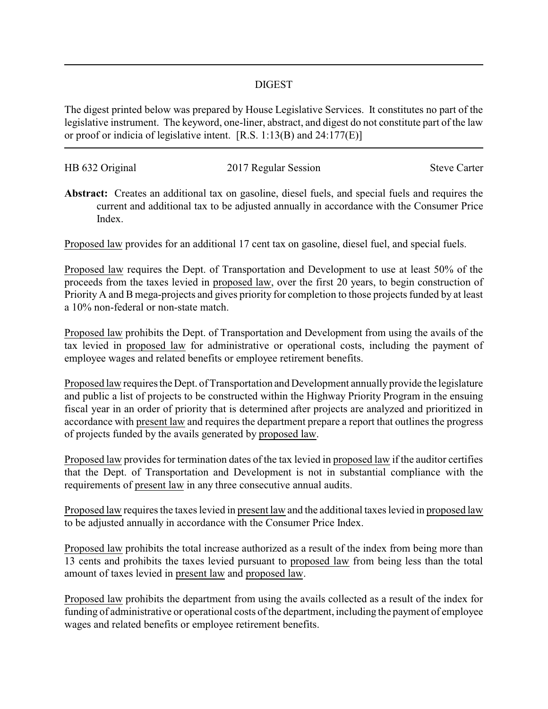## DIGEST

The digest printed below was prepared by House Legislative Services. It constitutes no part of the legislative instrument. The keyword, one-liner, abstract, and digest do not constitute part of the law or proof or indicia of legislative intent. [R.S. 1:13(B) and 24:177(E)]

| HB 632 Original | 2017 Regular Session | <b>Steve Carter</b> |
|-----------------|----------------------|---------------------|
|                 |                      |                     |

**Abstract:** Creates an additional tax on gasoline, diesel fuels, and special fuels and requires the current and additional tax to be adjusted annually in accordance with the Consumer Price Index.

Proposed law provides for an additional 17 cent tax on gasoline, diesel fuel, and special fuels.

Proposed law requires the Dept. of Transportation and Development to use at least 50% of the proceeds from the taxes levied in proposed law, over the first 20 years, to begin construction of Priority A and B mega-projects and gives priority for completion to those projects funded by at least a 10% non-federal or non-state match.

Proposed law prohibits the Dept. of Transportation and Development from using the avails of the tax levied in proposed law for administrative or operational costs, including the payment of employee wages and related benefits or employee retirement benefits.

Proposed law requires the Dept. of Transportation and Development annually provide the legislature and public a list of projects to be constructed within the Highway Priority Program in the ensuing fiscal year in an order of priority that is determined after projects are analyzed and prioritized in accordance with present law and requires the department prepare a report that outlines the progress of projects funded by the avails generated by proposed law.

Proposed law provides for termination dates of the tax levied in proposed law if the auditor certifies that the Dept. of Transportation and Development is not in substantial compliance with the requirements of present law in any three consecutive annual audits.

Proposed law requires the taxes levied in present law and the additional taxes levied in proposed law to be adjusted annually in accordance with the Consumer Price Index.

Proposed law prohibits the total increase authorized as a result of the index from being more than 13 cents and prohibits the taxes levied pursuant to proposed law from being less than the total amount of taxes levied in present law and proposed law.

Proposed law prohibits the department from using the avails collected as a result of the index for funding of administrative or operational costs of the department, including the payment of employee wages and related benefits or employee retirement benefits.